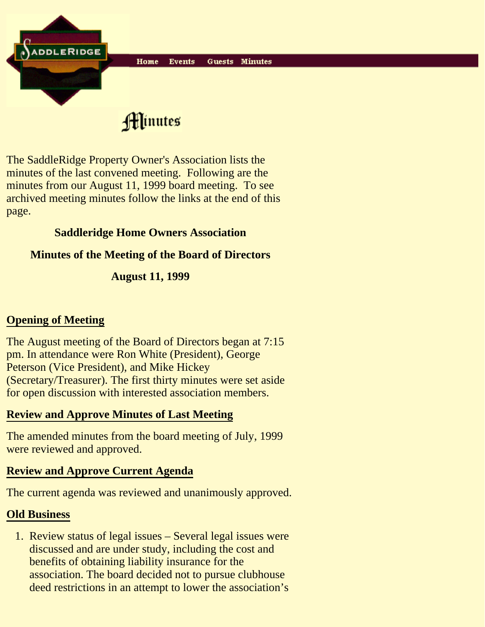

Hinutes

The SaddleRidge Property Owner's Association lists the minutes of the last convened meeting. Following are the minutes from our August 11, 1999 board meeting. To see archived meeting minutes follow the links at the end of this page.

## **Saddleridge Home Owners Association**

### **Minutes of the Meeting of the Board of Directors**

**August 11, 1999**

# **Opening of Meeting**

The August meeting of the Board of Directors began at 7:15 pm. In attendance were Ron White (President), George Peterson (Vice President), and Mike Hickey (Secretary/Treasurer). The first thirty minutes were set aside for open discussion with interested association members.

## **Review and Approve Minutes of Last Meeting**

The amended minutes from the board meeting of July, 1999 were reviewed and approved.

## **Review and Approve Current Agenda**

The current agenda was reviewed and unanimously approved.

#### **Old Business**

1. Review status of legal issues - Several legal issues were discussed and are under study, including the cost and benefits of obtaining liability insurance for the association. The board decided not to pursue clubhouse deed restrictions in an attempt to lower the association's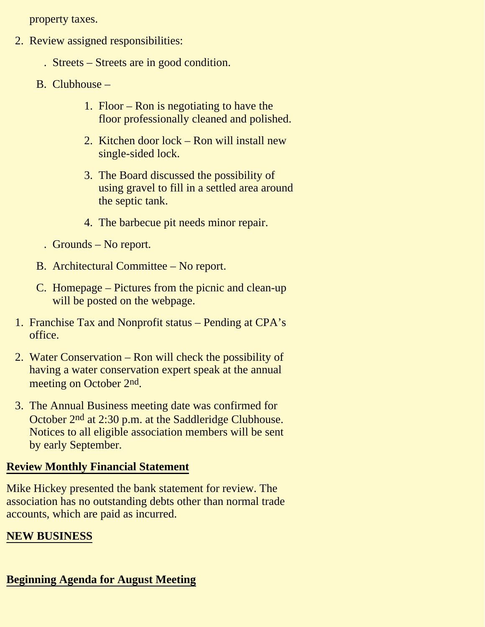property taxes.

- 2. Review assigned responsibilities:
	- . Streets Streets are in good condition.
	- B. Clubhouse
		- 1. Floor Ron is negotiating to have the floor professionally cleaned and polished.
		- 2. Kitchen door lock Ron will install new single-sided lock.
		- 3. The Board discussed the possibility of using gravel to fill in a settled area around the septic tank.
		- 4. The barbecue pit needs minor repair.
		- . Grounds No report.
	- B. Architectural Committee No report.
	- C. Homepage Pictures from the picnic and clean-up will be posted on the webpage.
- 1. Franchise Tax and Nonprofit status Pending at CPA's office.
- 2. Water Conservation Ron will check the possibility of having a water conservation expert speak at the annual meeting on October 2<sup>nd</sup>.
- 3. The Annual Business meeting date was confirmed for October 2nd at 2:30 p.m. at the Saddleridge Clubhouse. Notices to all eligible association members will be sent by early September.

#### **Review Monthly Financial Statement**

Mike Hickey presented the bank statement for review. The association has no outstanding debts other than normal trade accounts, which are paid as incurred.

#### **NEW BUSINESS**